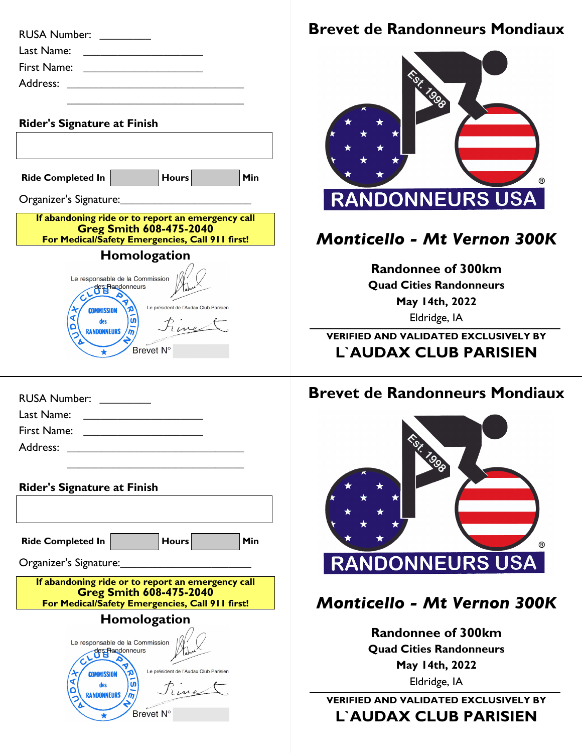| <b>RUSA Number:</b>                                                                                                                    |
|----------------------------------------------------------------------------------------------------------------------------------------|
| Last Name:                                                                                                                             |
| First Name:                                                                                                                            |
| Address:                                                                                                                               |
|                                                                                                                                        |
| <b>Rider's Signature at Finish</b>                                                                                                     |
|                                                                                                                                        |
| Hours<br>Min<br><b>Ride Completed In</b>                                                                                               |
|                                                                                                                                        |
| Organizer's Signature:                                                                                                                 |
| If abandoning ride or to report an emergency call<br><b>Greg Smith 608-475-2040</b><br>For Medical/Safety Emergencies, Call 911 first! |
| Homologation                                                                                                                           |

| RUSA Number: ________                                              |
|--------------------------------------------------------------------|
| Last Name:                                                         |
| First Name:<br><u> 1989 - Andrea State Barbara, político e a f</u> |
| Address:<br><u> 1989 - John Stein, Amerikaansk politiker (</u>     |
|                                                                    |

| <b>Rider's Signature at Finish</b>                                                                   |                                                    |                                       |     |
|------------------------------------------------------------------------------------------------------|----------------------------------------------------|---------------------------------------|-----|
|                                                                                                      |                                                    |                                       |     |
| <b>Ride Completed In</b>                                                                             |                                                    | <b>Hours</b>                          | Min |
| Organizer's Signature:                                                                               |                                                    |                                       |     |
| If abandoning ride or to report an emergency call<br>For Medical/Safety Emergencies, Call 911 first! |                                                    | <b>Greg Smith 608-475-2040</b>        |     |
|                                                                                                      | Homologation                                       |                                       |     |
| <b>COMMISSION</b><br>des<br><b>RANDONNFURS</b>                                                       | Le responsable de la Commission<br>des Randonneurs | Le président de l'Audax Club Parisien |     |
|                                                                                                      | <b>Brevet N</b>                                    |                                       |     |

## **Brevet de Randonneurs Mondiaux**



## *Monticello - Mt Vernon 300K*

**Randonnee of 300km Quad Cities Randonneurs May 14th, 2022** Eldridge, IA

**VERIFIED AND VALIDATED EXCLUSIVELY BY L`AUDAX CLUB PARISIEN**

## **Brevet de Randonneurs Mondiaux**



## *Monticello - Mt Vernon 300K*

**Randonnee of 300km Quad Cities Randonneurs May 14th, 2022** Eldridge, IA

**VERIFIED AND VALIDATED EXCLUSIVELY BY L`AUDAX CLUB PARISIEN**